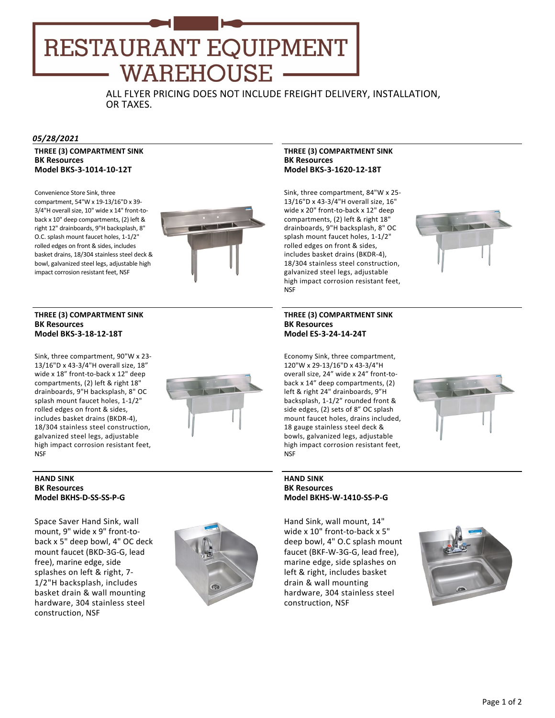# RESTAURANT EQUIPMENT **WAREHOUSE**

ALL FLYER PRICING DOES NOT INCLUDE FREIGHT DELIVERY, INSTALLATION, OR TAXES.

### *05/28/2021*

# **THREE (3) COMPARTMENT SINK BK Resources Model BKS‐3‐1014‐10‐12T**

Convenience Store Sink, three compartment, 54"W x 19‐13/16"D x 39‐ 3/4"H overall size, 10" wide x 14" front-toback x 10" deep compartments, (2) left & right 12" drainboards, 9"H backsplash, 8" O.C. splash mount faucet holes, 1‐1/2" rolled edges on front & sides, includes basket drains, 18/304 stainless steel deck & bowl, galvanized steel legs, adjustable high impact corrosion resistant feet, NSF



### **THREE (3) COMPARTMENT SINK BK Resources Model BKS‐3‐18‐12‐18T**

Sink, three compartment, 90"W x 23‐ 13/16"D x 43‐3/4"H overall size, 18" wide x 18" front‐to‐back x 12" deep compartments, (2) left & right 18" drainboards, 9"H backsplash, 8" OC splash mount faucet holes, 1‐1/2" rolled edges on front & sides, includes basket drains (BKDR‐4), 18/304 stainless steel construction, galvanized steel legs, adjustable high impact corrosion resistant feet, **NSF** 



# **HAND SINK BK Resources Model BKHS‐D‐SS‐SS‐P‐G**

Space Saver Hand Sink, wall mount, 9" wide x 9" front‐to‐ back x 5" deep bowl, 4" OC deck mount faucet (BKD‐3G‐G, lead free), marine edge, side splashes on left & right, 7‐ 1/2"H backsplash, includes basket drain & wall mounting hardware, 304 stainless steel construction, NSF



### **THREE (3) COMPARTMENT SINK BK Resources Model BKS‐3‐1620‐12‐18T**

Sink, three compartment, 84"W x 25‐ 13/16"D x 43‐3/4"H overall size, 16" wide x 20" front‐to‐back x 12" deep compartments, (2) left & right 18" drainboards, 9"H backsplash, 8" OC splash mount faucet holes, 1‐1/2" rolled edges on front & sides, includes basket drains (BKDR‐4), 18/304 stainless steel construction, galvanized steel legs, adjustable high impact corrosion resistant feet, NSF



## **THREE (3) COMPARTMENT SINK BK Resources Model ES‐3‐24‐14‐24T**

Economy Sink, three compartment, 120"W x 29‐13/16"D x 43‐3/4"H overall size, 24" wide x 24" front‐to‐ back x 14" deep compartments, (2) left & right 24" drainboards, 9"H backsplash, 1‐1/2" rounded front & side edges, (2) sets of 8" OC splash mount faucet holes, drains included, 18 gauge stainless steel deck & bowls, galvanized legs, adjustable high impact corrosion resistant feet, **NSF** 



## **HAND SINK BK Resources Model BKHS‐W‐1410‐SS‐P‐G**

Hand Sink, wall mount, 14" wide x 10" front-to-back x 5" deep bowl, 4" O.C splash mount faucet (BKF‐W‐3G‐G, lead free), marine edge, side splashes on left & right, includes basket drain & wall mounting hardware, 304 stainless steel construction, NSF